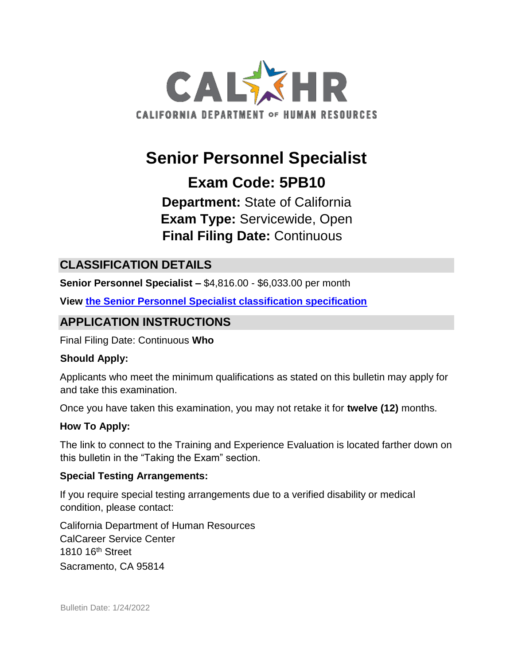

# **Senior Personnel Specialist**

## **Exam Code: 5PB10**

**Department:** State of California **Exam Type:** Servicewide, Open **Final Filing Date:** Continuous

## **CLASSIFICATION DETAILS**

**Senior Personnel Specialist –** \$4,816.00 - \$6,033.00 per month

**View [the Senior Personnel Specialist classification specification](http://www.calhr.ca.gov/state-hr-professionals/pages/1303.aspx)**

## **APPLICATION INSTRUCTIONS**

Final Filing Date: Continuous **Who** 

#### **Should Apply:**

Applicants who meet the minimum qualifications as stated on this bulletin may apply for and take this examination.

Once you have taken this examination, you may not retake it for **twelve (12)** months.

#### **How To Apply:**

The link to connect to the Training and Experience Evaluation is located farther down on this bulletin in the "Taking the Exam" section.

#### **Special Testing Arrangements:**

If you require special testing arrangements due to a verified disability or medical condition, please contact:

California Department of Human Resources CalCareer Service Center 1810 16th Street Sacramento, CA 95814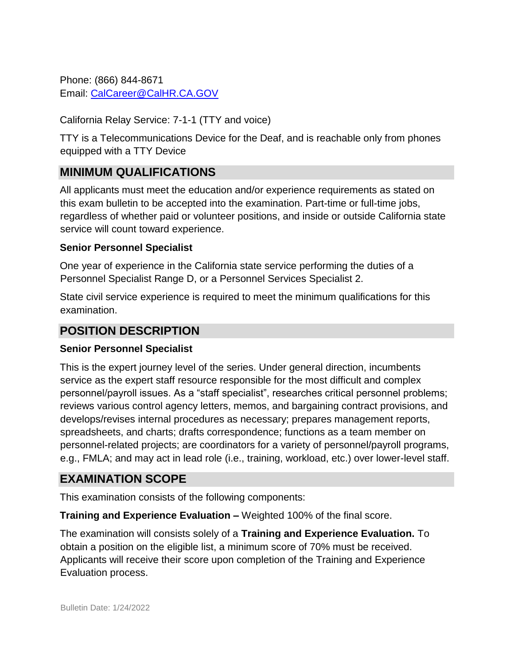Phone: (866) 844-8671 Email: CalCareer@CalHR.CA.GOV

California Relay Service: 7-1-1 (TTY and voice)

TTY is a Telecommunications Device for the Deaf, and is reachable only from phones equipped with a TTY Device

## **MINIMUM QUALIFICATIONS**

All applicants must meet the education and/or experience requirements as stated on this exam bulletin to be accepted into the examination. Part-time or full-time jobs, regardless of whether paid or volunteer positions, and inside or outside California state service will count toward experience.

#### **Senior Personnel Specialist**

One year of experience in the California state service performing the duties of a Personnel Specialist Range D, or a Personnel Services Specialist 2.

State civil service experience is required to meet the minimum qualifications for this examination.

#### **POSITION DESCRIPTION**

#### **Senior Personnel Specialist**

This is the expert journey level of the series. Under general direction, incumbents service as the expert staff resource responsible for the most difficult and complex personnel/payroll issues. As a "staff specialist", researches critical personnel problems; reviews various control agency letters, memos, and bargaining contract provisions, and develops/revises internal procedures as necessary; prepares management reports, spreadsheets, and charts; drafts correspondence; functions as a team member on personnel-related projects; are coordinators for a variety of personnel/payroll programs, e.g., FMLA; and may act in lead role (i.e., training, workload, etc.) over lower-level staff.

## **EXAMINATION SCOPE**

This examination consists of the following components:

**Training and Experience Evaluation –** Weighted 100% of the final score.

The examination will consists solely of a **Training and Experience Evaluation.** To obtain a position on the eligible list, a minimum score of 70% must be received. Applicants will receive their score upon completion of the Training and Experience Evaluation process.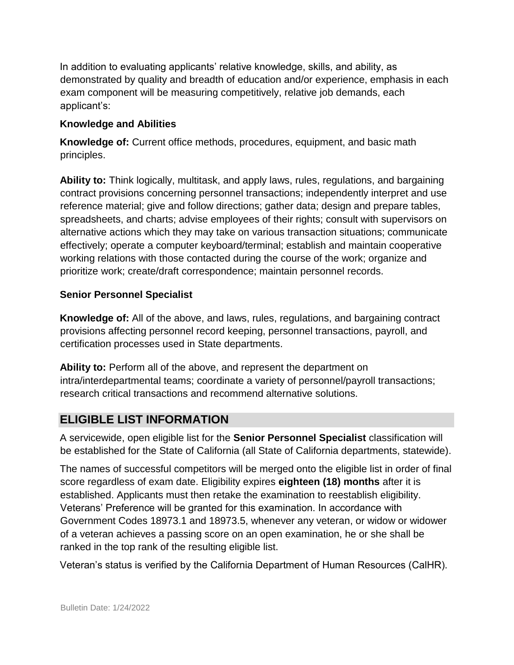In addition to evaluating applicants' relative knowledge, skills, and ability, as demonstrated by quality and breadth of education and/or experience, emphasis in each exam component will be measuring competitively, relative job demands, each applicant's:

#### **Knowledge and Abilities**

**Knowledge of:** Current office methods, procedures, equipment, and basic math principles.

**Ability to:** Think logically, multitask, and apply laws, rules, regulations, and bargaining contract provisions concerning personnel transactions; independently interpret and use reference material; give and follow directions; gather data; design and prepare tables, spreadsheets, and charts; advise employees of their rights; consult with supervisors on alternative actions which they may take on various transaction situations; communicate effectively; operate a computer keyboard/terminal; establish and maintain cooperative working relations with those contacted during the course of the work; organize and prioritize work; create/draft correspondence; maintain personnel records.

#### **Senior Personnel Specialist**

**Knowledge of:** All of the above, and laws, rules, regulations, and bargaining contract provisions affecting personnel record keeping, personnel transactions, payroll, and certification processes used in State departments.

**Ability to:** Perform all of the above, and represent the department on intra/interdepartmental teams; coordinate a variety of personnel/payroll transactions; research critical transactions and recommend alternative solutions.

## **ELIGIBLE LIST INFORMATION**

A servicewide, open eligible list for the **Senior Personnel Specialist** classification will be established for the State of California (all State of California departments, statewide).

The names of successful competitors will be merged onto the eligible list in order of final score regardless of exam date. Eligibility expires **eighteen (18) months** after it is established. Applicants must then retake the examination to reestablish eligibility. Veterans' Preference will be granted for this examination. In accordance with Government Codes 18973.1 and 18973.5, whenever any veteran, or widow or widower of a veteran achieves a passing score on an open examination, he or she shall be ranked in the top rank of the resulting eligible list.

Veteran's status is verified by the California Department of Human Resources (CalHR).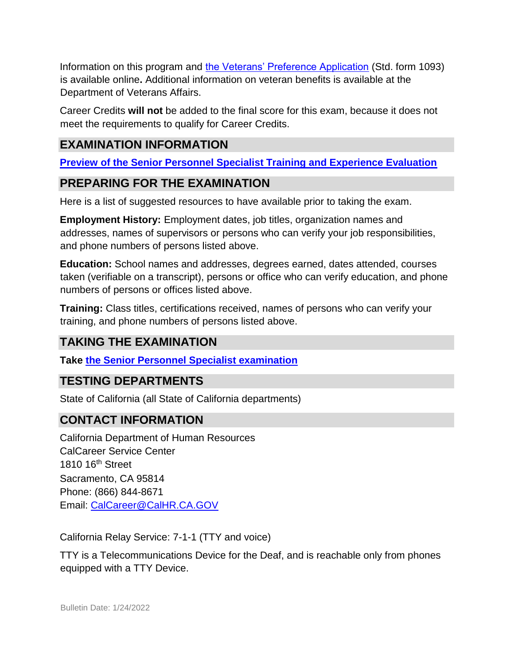Information on this program and [the Veterans' Preference Application](https://www.jobs.ca.gov/CalHRPublic/Landing/Jobs/VeteransInformation.aspx) (Std. form 1093) is available online**.** Additional information on veteran benefits is available at the Department of Veterans Affairs.

Career Credits **will not** be added to the final score for this exam, because it does not meet the requirements to qualify for Career Credits.

## **EXAMINATION INFORMATION**

**[Preview of the Senior Personnel Specialist Training and Experience Evaluation](https://jobs.ca.gov/jobsgen/5PB10B.pdf)**

## **PREPARING FOR THE EXAMINATION**

Here is a list of suggested resources to have available prior to taking the exam.

**Employment History:** Employment dates, job titles, organization names and addresses, names of supervisors or persons who can verify your job responsibilities, and phone numbers of persons listed above.

**Education:** School names and addresses, degrees earned, dates attended, courses taken (verifiable on a transcript), persons or office who can verify education, and phone numbers of persons or offices listed above.

**Training:** Class titles, certifications received, names of persons who can verify your training, and phone numbers of persons listed above.

## **TAKING THE EXAMINATION**

**Take [the Senior Personnel Specialist examination](https://exams.spb.ca.gov/exams/sps/index.cfm)**

## **TESTING DEPARTMENTS**

State of California (all State of California departments)

## **CONTACT INFORMATION**

California Department of Human Resources CalCareer Service Center 1810 16<sup>th</sup> Street Sacramento, CA 95814 Phone: (866) 844-8671 Email: CalCareer@CalHR.CA.GOV

California Relay Service: 7-1-1 (TTY and voice)

TTY is a Telecommunications Device for the Deaf, and is reachable only from phones equipped with a TTY Device.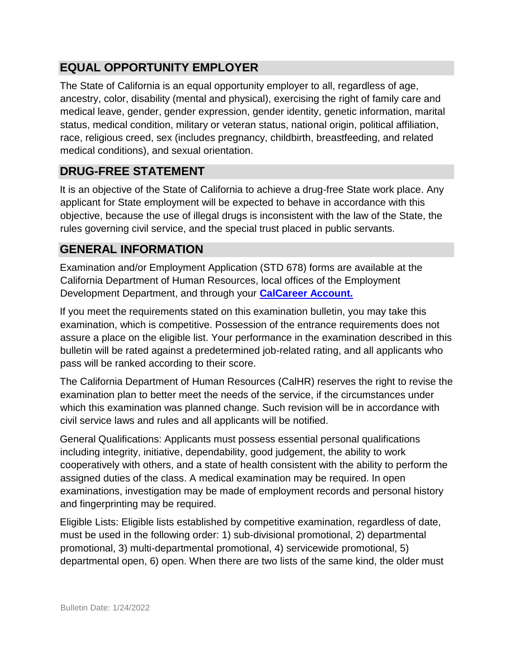## **EQUAL OPPORTUNITY EMPLOYER**

The State of California is an equal opportunity employer to all, regardless of age, ancestry, color, disability (mental and physical), exercising the right of family care and medical leave, gender, gender expression, gender identity, genetic information, marital status, medical condition, military or veteran status, national origin, political affiliation, race, religious creed, sex (includes pregnancy, childbirth, breastfeeding, and related medical conditions), and sexual orientation.

## **DRUG-FREE STATEMENT**

It is an objective of the State of California to achieve a drug-free State work place. Any applicant for State employment will be expected to behave in accordance with this objective, because the use of illegal drugs is inconsistent with the law of the State, the rules governing civil service, and the special trust placed in public servants.

## **GENERAL INFORMATION**

Examination and/or Employment Application (STD 678) forms are available at the California Department of Human Resources, local offices of the Employment Development Department, and through your **[CalCareer Account.](http://www.jobs.ca.gov/)**

If you meet the requirements stated on this examination bulletin, you may take this examination, which is competitive. Possession of the entrance requirements does not assure a place on the eligible list. Your performance in the examination described in this bulletin will be rated against a predetermined job-related rating, and all applicants who pass will be ranked according to their score.

The California Department of Human Resources (CalHR) reserves the right to revise the examination plan to better meet the needs of the service, if the circumstances under which this examination was planned change. Such revision will be in accordance with civil service laws and rules and all applicants will be notified.

General Qualifications: Applicants must possess essential personal qualifications including integrity, initiative, dependability, good judgement, the ability to work cooperatively with others, and a state of health consistent with the ability to perform the assigned duties of the class. A medical examination may be required. In open examinations, investigation may be made of employment records and personal history and fingerprinting may be required.

Eligible Lists: Eligible lists established by competitive examination, regardless of date, must be used in the following order: 1) sub-divisional promotional, 2) departmental promotional, 3) multi-departmental promotional, 4) servicewide promotional, 5) departmental open, 6) open. When there are two lists of the same kind, the older must